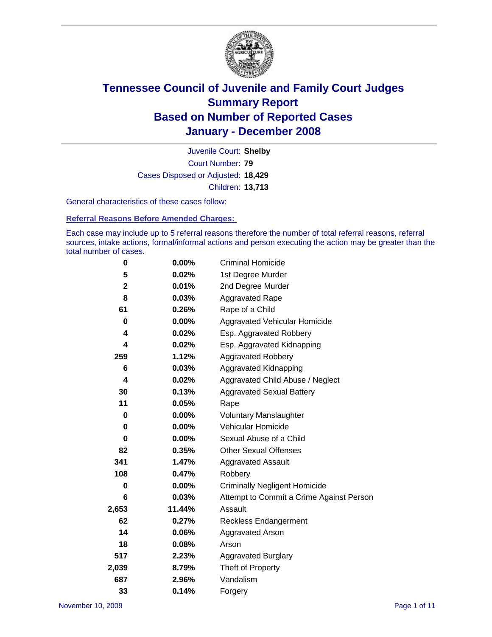

Court Number: **79** Juvenile Court: **Shelby** Cases Disposed or Adjusted: **18,429** Children: **13,713**

General characteristics of these cases follow:

**Referral Reasons Before Amended Charges:** 

Each case may include up to 5 referral reasons therefore the number of total referral reasons, referral sources, intake actions, formal/informal actions and person executing the action may be greater than the total number of cases.

| 0           | 0.00%    | <b>Criminal Homicide</b>                 |
|-------------|----------|------------------------------------------|
| 5           | 0.02%    | 1st Degree Murder                        |
| $\mathbf 2$ | 0.01%    | 2nd Degree Murder                        |
| 8           | 0.03%    | <b>Aggravated Rape</b>                   |
| 61          | 0.26%    | Rape of a Child                          |
| 0           | $0.00\%$ | Aggravated Vehicular Homicide            |
| 4           | 0.02%    | Esp. Aggravated Robbery                  |
| 4           | 0.02%    | Esp. Aggravated Kidnapping               |
|             |          |                                          |
| 259         | 1.12%    | <b>Aggravated Robbery</b>                |
| 6           | 0.03%    | Aggravated Kidnapping                    |
| 4           | 0.02%    | Aggravated Child Abuse / Neglect         |
| 30          | 0.13%    | <b>Aggravated Sexual Battery</b>         |
| 11          | 0.05%    | Rape                                     |
| 0           | $0.00\%$ | <b>Voluntary Manslaughter</b>            |
| 0           | 0.00%    | Vehicular Homicide                       |
| 0           | 0.00%    | Sexual Abuse of a Child                  |
| 82          | 0.35%    | <b>Other Sexual Offenses</b>             |
| 341         | 1.47%    | Aggravated Assault                       |
| 108         | 0.47%    | Robbery                                  |
| 0           | $0.00\%$ | <b>Criminally Negligent Homicide</b>     |
| 6           | 0.03%    | Attempt to Commit a Crime Against Person |
| 2,653       | 11.44%   | Assault                                  |
| 62          | 0.27%    | <b>Reckless Endangerment</b>             |
| 14          | 0.06%    | <b>Aggravated Arson</b>                  |
| 18          | 0.08%    | Arson                                    |
| 517         | 2.23%    | <b>Aggravated Burglary</b>               |
| 2,039       | 8.79%    | Theft of Property                        |
| 687         | 2.96%    | Vandalism                                |
| 33          | 0.14%    | Forgery                                  |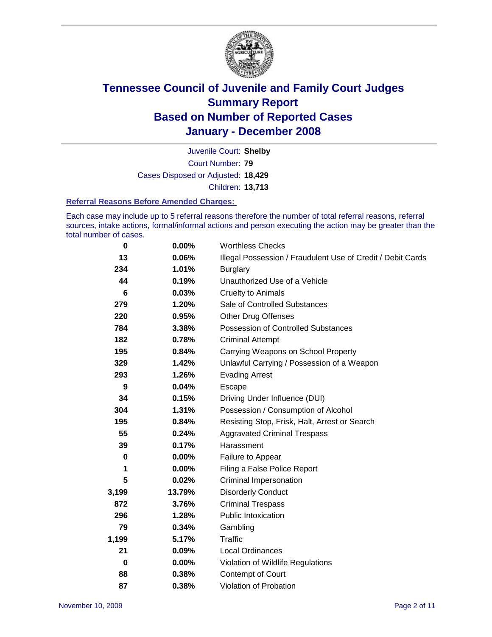

Court Number: **79** Juvenile Court: **Shelby** Cases Disposed or Adjusted: **18,429** Children: **13,713**

#### **Referral Reasons Before Amended Charges:**

Each case may include up to 5 referral reasons therefore the number of total referral reasons, referral sources, intake actions, formal/informal actions and person executing the action may be greater than the total number of cases.

| 0     | 0.00%  | <b>Worthless Checks</b>                                     |
|-------|--------|-------------------------------------------------------------|
| 13    | 0.06%  | Illegal Possession / Fraudulent Use of Credit / Debit Cards |
| 234   | 1.01%  | <b>Burglary</b>                                             |
| 44    | 0.19%  | Unauthorized Use of a Vehicle                               |
| 6     | 0.03%  | <b>Cruelty to Animals</b>                                   |
| 279   | 1.20%  | Sale of Controlled Substances                               |
| 220   | 0.95%  | Other Drug Offenses                                         |
| 784   | 3.38%  | Possession of Controlled Substances                         |
| 182   | 0.78%  | <b>Criminal Attempt</b>                                     |
| 195   | 0.84%  | Carrying Weapons on School Property                         |
| 329   | 1.42%  | Unlawful Carrying / Possession of a Weapon                  |
| 293   | 1.26%  | <b>Evading Arrest</b>                                       |
| 9     | 0.04%  | Escape                                                      |
| 34    | 0.15%  | Driving Under Influence (DUI)                               |
| 304   | 1.31%  | Possession / Consumption of Alcohol                         |
| 195   | 0.84%  | Resisting Stop, Frisk, Halt, Arrest or Search               |
| 55    | 0.24%  | <b>Aggravated Criminal Trespass</b>                         |
| 39    | 0.17%  | Harassment                                                  |
| 0     | 0.00%  | Failure to Appear                                           |
| 1     | 0.00%  | Filing a False Police Report                                |
| 5     | 0.02%  | Criminal Impersonation                                      |
| 3,199 | 13.79% | <b>Disorderly Conduct</b>                                   |
| 872   | 3.76%  | <b>Criminal Trespass</b>                                    |
| 296   | 1.28%  | <b>Public Intoxication</b>                                  |
| 79    | 0.34%  | Gambling                                                    |
| 1,199 | 5.17%  | Traffic                                                     |
| 21    | 0.09%  | Local Ordinances                                            |
| 0     | 0.00%  | Violation of Wildlife Regulations                           |
| 88    | 0.38%  | Contempt of Court                                           |
| 87    | 0.38%  | Violation of Probation                                      |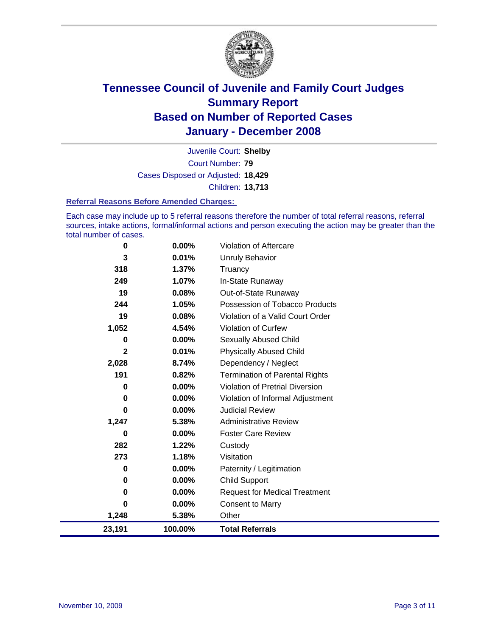

Court Number: **79** Juvenile Court: **Shelby** Cases Disposed or Adjusted: **18,429** Children: **13,713**

#### **Referral Reasons Before Amended Charges:**

Each case may include up to 5 referral reasons therefore the number of total referral reasons, referral sources, intake actions, formal/informal actions and person executing the action may be greater than the total number of cases.

| 23,191       | 100.00%  | <b>Total Referrals</b>                 |
|--------------|----------|----------------------------------------|
| 1,248        | 5.38%    | Other                                  |
| 0            | 0.00%    | <b>Consent to Marry</b>                |
| 0            | $0.00\%$ | <b>Request for Medical Treatment</b>   |
| 0            | $0.00\%$ | <b>Child Support</b>                   |
| 0            | $0.00\%$ | Paternity / Legitimation               |
| 273          | 1.18%    | Visitation                             |
| 282          | 1.22%    | Custody                                |
| 0            | $0.00\%$ | <b>Foster Care Review</b>              |
| 1,247        | 5.38%    | <b>Administrative Review</b>           |
| 0            | 0.00%    | <b>Judicial Review</b>                 |
| 0            | $0.00\%$ | Violation of Informal Adjustment       |
| 0            | $0.00\%$ | <b>Violation of Pretrial Diversion</b> |
| 191          | 0.82%    | <b>Termination of Parental Rights</b>  |
| 2,028        | 8.74%    | Dependency / Neglect                   |
| $\mathbf{2}$ | 0.01%    | <b>Physically Abused Child</b>         |
| 0            | 0.00%    | <b>Sexually Abused Child</b>           |
| 1,052        | 4.54%    | <b>Violation of Curfew</b>             |
| 19           | 0.08%    | Violation of a Valid Court Order       |
| 244          | 1.05%    | Possession of Tobacco Products         |
| 19           | 0.08%    | Out-of-State Runaway                   |
| 249          | 1.07%    | In-State Runaway                       |
| 318          | 1.37%    | Truancy                                |
| 3            | 0.01%    | <b>Unruly Behavior</b>                 |
| 0            | 0.00%    | Violation of Aftercare                 |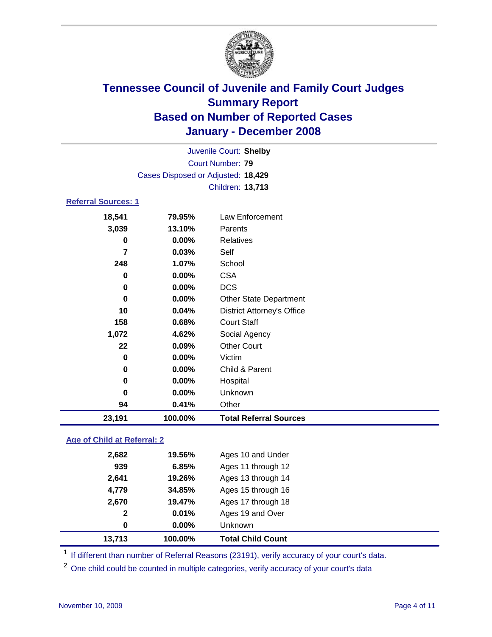

|                            |                                    | Juvenile Court: Shelby  |  |
|----------------------------|------------------------------------|-------------------------|--|
|                            |                                    | Court Number: 79        |  |
|                            | Cases Disposed or Adjusted: 18,429 |                         |  |
|                            |                                    | <b>Children: 13,713</b> |  |
| <b>Referral Sources: 1</b> |                                    |                         |  |
| 10 E11                     | 70 Q.CO.                           | Low Enforcomont         |  |

### **18,541 79.95%** Law Enforcement **3,039 13.10%** Parents **0 0.00%** Relatives **7 0.03%** Self **248 1.07%** School **0 0.00%** CSA **0 0.00%** DCS **0 0.00%** Other State Department **10 0.04%** District Attorney's Office **158 0.68%** Court Staff **1,072 4.62%** Social Agency **22 0.09%** Other Court **0 0.00%** Victim **0 0.00%** Child & Parent **0 0.00%** Hospital **0 0.00%** Unknown **94 0.41%** Other **23,191 100.00% Total Referral Sources**

### **Age of Child at Referral: 2**

| 100.00%<br>13,713     | <b>Total Child Count</b> |
|-----------------------|--------------------------|
| $0.00\%$<br>0         | Unknown                  |
| 0.01%<br>$\mathbf{2}$ | Ages 19 and Over         |
| 2,670<br>19.47%       | Ages 17 through 18       |
| 4,779<br>34.85%       | Ages 15 through 16       |
| 2,641<br>19.26%       | Ages 13 through 14       |
| 939<br>6.85%          | Ages 11 through 12       |
| 2,682<br>19.56%       | Ages 10 and Under        |
|                       |                          |

<sup>1</sup> If different than number of Referral Reasons (23191), verify accuracy of your court's data.

<sup>2</sup> One child could be counted in multiple categories, verify accuracy of your court's data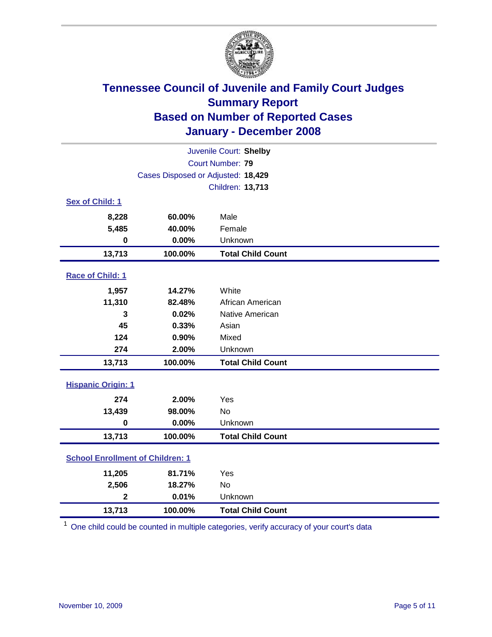

| Juvenile Court: Shelby                  |                                    |                          |  |  |  |
|-----------------------------------------|------------------------------------|--------------------------|--|--|--|
| <b>Court Number: 79</b>                 |                                    |                          |  |  |  |
|                                         | Cases Disposed or Adjusted: 18,429 |                          |  |  |  |
|                                         |                                    | Children: 13,713         |  |  |  |
| Sex of Child: 1                         |                                    |                          |  |  |  |
| 8,228                                   | 60.00%                             | Male                     |  |  |  |
| 5,485                                   | 40.00%                             | Female                   |  |  |  |
| $\bf{0}$                                | 0.00%                              | Unknown                  |  |  |  |
| 13,713                                  | 100.00%                            | <b>Total Child Count</b> |  |  |  |
| Race of Child: 1                        |                                    |                          |  |  |  |
| 1,957                                   | 14.27%                             | White                    |  |  |  |
| 11,310                                  | 82.48%                             | African American         |  |  |  |
| 3                                       | 0.02%                              | Native American          |  |  |  |
| 45                                      | 0.33%                              | Asian                    |  |  |  |
| 124                                     | 0.90%                              | Mixed                    |  |  |  |
| 274                                     | 2.00%                              | Unknown                  |  |  |  |
| 13,713                                  | 100.00%                            | <b>Total Child Count</b> |  |  |  |
| <b>Hispanic Origin: 1</b>               |                                    |                          |  |  |  |
| 274                                     | 2.00%                              | Yes                      |  |  |  |
| 13,439                                  | 98.00%                             | <b>No</b>                |  |  |  |
| $\mathbf 0$                             | 0.00%                              | Unknown                  |  |  |  |
| 13,713                                  | 100.00%                            | <b>Total Child Count</b> |  |  |  |
| <b>School Enrollment of Children: 1</b> |                                    |                          |  |  |  |
| 11,205                                  | 81.71%                             | Yes                      |  |  |  |
| 2,506                                   | 18.27%                             | No                       |  |  |  |
| $\overline{2}$                          | 0.01%                              | Unknown                  |  |  |  |
| 13,713                                  | 100.00%                            | <b>Total Child Count</b> |  |  |  |

<sup>1</sup> One child could be counted in multiple categories, verify accuracy of your court's data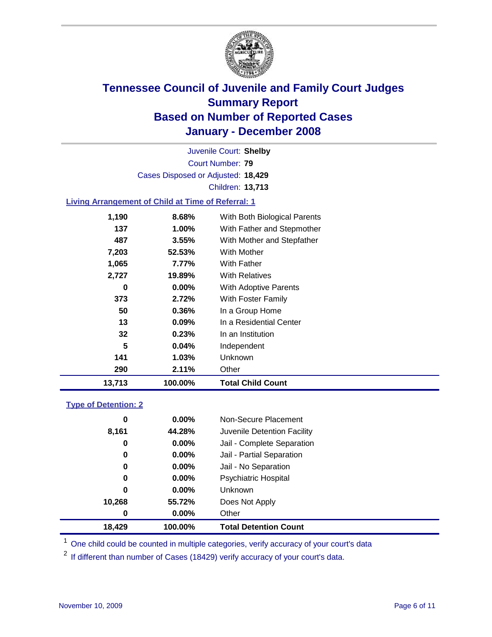

Court Number: **79** Juvenile Court: **Shelby** Cases Disposed or Adjusted: **18,429** Children: **13,713**

### **Living Arrangement of Child at Time of Referral: 1**

| 13,713 | 100.00%  | <b>Total Child Count</b>     |
|--------|----------|------------------------------|
| 290    | 2.11%    | Other                        |
| 141    | 1.03%    | <b>Unknown</b>               |
| 5      | 0.04%    | Independent                  |
| 32     | 0.23%    | In an Institution            |
| 13     | $0.09\%$ | In a Residential Center      |
| 50     | 0.36%    | In a Group Home              |
| 373    | 2.72%    | With Foster Family           |
| 0      | $0.00\%$ | With Adoptive Parents        |
| 2,727  | 19.89%   | <b>With Relatives</b>        |
| 1,065  | 7.77%    | With Father                  |
| 7,203  | 52.53%   | <b>With Mother</b>           |
| 487    | 3.55%    | With Mother and Stepfather   |
| 137    | 1.00%    | With Father and Stepmother   |
| 1,190  | 8.68%    | With Both Biological Parents |
|        |          |                              |

#### **Type of Detention: 2**

| 18,429 | 100.00%  | <b>Total Detention Count</b> |
|--------|----------|------------------------------|
| 0      | $0.00\%$ | Other                        |
| 10,268 | 55.72%   | Does Not Apply               |
| 0      | $0.00\%$ | Unknown                      |
| 0      | $0.00\%$ | <b>Psychiatric Hospital</b>  |
| 0      | $0.00\%$ | Jail - No Separation         |
| 0      | $0.00\%$ | Jail - Partial Separation    |
| 0      | 0.00%    | Jail - Complete Separation   |
| 8,161  | 44.28%   | Juvenile Detention Facility  |
| 0      | $0.00\%$ | Non-Secure Placement         |
|        |          |                              |

<sup>1</sup> One child could be counted in multiple categories, verify accuracy of your court's data

<sup>2</sup> If different than number of Cases (18429) verify accuracy of your court's data.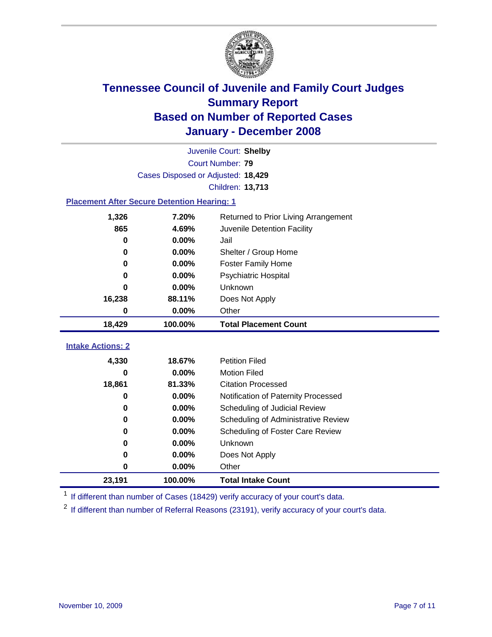

|                                                    | Juvenile Court: Shelby             |                                      |  |  |  |
|----------------------------------------------------|------------------------------------|--------------------------------------|--|--|--|
| Court Number: 79                                   |                                    |                                      |  |  |  |
|                                                    | Cases Disposed or Adjusted: 18,429 |                                      |  |  |  |
|                                                    |                                    | Children: 13,713                     |  |  |  |
| <b>Placement After Secure Detention Hearing: 1</b> |                                    |                                      |  |  |  |
| 1,326                                              | 7.20%                              | Returned to Prior Living Arrangement |  |  |  |
| 865                                                | 4.69%                              | Juvenile Detention Facility          |  |  |  |
| $\bf{0}$                                           | 0.00%                              | Jail                                 |  |  |  |
| $\bf{0}$                                           | $0.00\%$                           | Shelter / Group Home                 |  |  |  |
| 0                                                  | 0.00%                              | <b>Foster Family Home</b>            |  |  |  |
| 0                                                  | 0.00%                              | Psychiatric Hospital                 |  |  |  |
| 0                                                  | 0.00%                              | Unknown                              |  |  |  |
| 16,238                                             | 88.11%                             | Does Not Apply                       |  |  |  |
| 0                                                  | $0.00\%$                           | Other                                |  |  |  |
| 18,429                                             | 100.00%                            | <b>Total Placement Count</b>         |  |  |  |
| <b>Intake Actions: 2</b>                           |                                    |                                      |  |  |  |
|                                                    |                                    |                                      |  |  |  |
| 4,330                                              | 18.67%                             | <b>Petition Filed</b>                |  |  |  |
| 0                                                  | 0.00%                              | <b>Motion Filed</b>                  |  |  |  |
| 18,861                                             | 81.33%                             | <b>Citation Processed</b>            |  |  |  |
| 0                                                  | 0.00%                              | Notification of Paternity Processed  |  |  |  |
| 0                                                  | 0.00%                              | Scheduling of Judicial Review        |  |  |  |
| 0                                                  | 0.00%                              | Scheduling of Administrative Review  |  |  |  |
| 0                                                  | 0.00%                              | Scheduling of Foster Care Review     |  |  |  |
|                                                    |                                    |                                      |  |  |  |
| 0                                                  | 0.00%                              | Unknown                              |  |  |  |
| 0                                                  | 0.00%                              | Does Not Apply                       |  |  |  |
| 0                                                  | 0.00%                              | Other                                |  |  |  |

<sup>1</sup> If different than number of Cases (18429) verify accuracy of your court's data.

<sup>2</sup> If different than number of Referral Reasons (23191), verify accuracy of your court's data.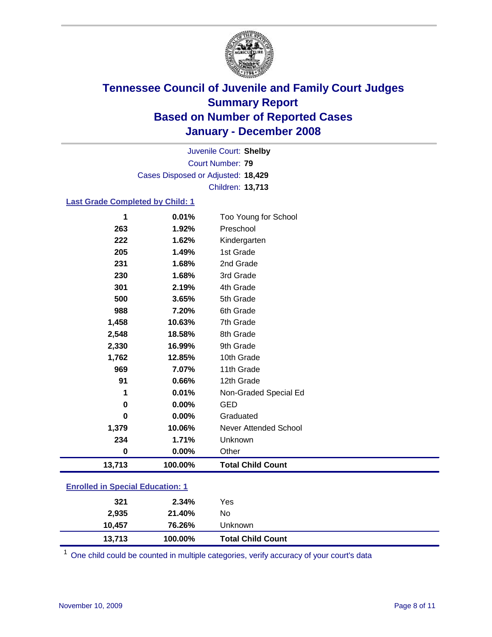

Court Number: **79** Juvenile Court: **Shelby** Cases Disposed or Adjusted: **18,429** Children: **13,713**

### **Last Grade Completed by Child: 1**

| 13,713 | 100.00% | <b>Total Child Count</b> |
|--------|---------|--------------------------|
| 0      | 0.00%   | Other                    |
| 234    | 1.71%   | Unknown                  |
| 1,379  | 10.06%  | Never Attended School    |
| 0      | 0.00%   | Graduated                |
| 0      | 0.00%   | <b>GED</b>               |
| 1      | 0.01%   | Non-Graded Special Ed    |
| 91     | 0.66%   | 12th Grade               |
| 969    | 7.07%   | 11th Grade               |
| 1,762  | 12.85%  | 10th Grade               |
| 2,330  | 16.99%  | 9th Grade                |
| 2,548  | 18.58%  | 8th Grade                |
| 1,458  | 10.63%  | 7th Grade                |
| 988    | 7.20%   | 6th Grade                |
| 500    | 3.65%   | 5th Grade                |
| 301    | 2.19%   | 4th Grade                |
| 230    | 1.68%   | 3rd Grade                |
| 231    | 1.68%   | 2nd Grade                |
| 205    | 1.49%   | 1st Grade                |
| 222    | 1.62%   | Kindergarten             |
| 263    | 1.92%   | Preschool                |
| 1      | 0.01%   | Too Young for School     |

### **Enrolled in Special Education: 1**

| 13,713          | 100.00%          | Unknown<br><b>Total Child Count</b> |  |
|-----------------|------------------|-------------------------------------|--|
| 2,935<br>10.457 | 21.40%<br>76.26% | No                                  |  |
| 321             | 2.34%            | Yes                                 |  |

<sup>1</sup> One child could be counted in multiple categories, verify accuracy of your court's data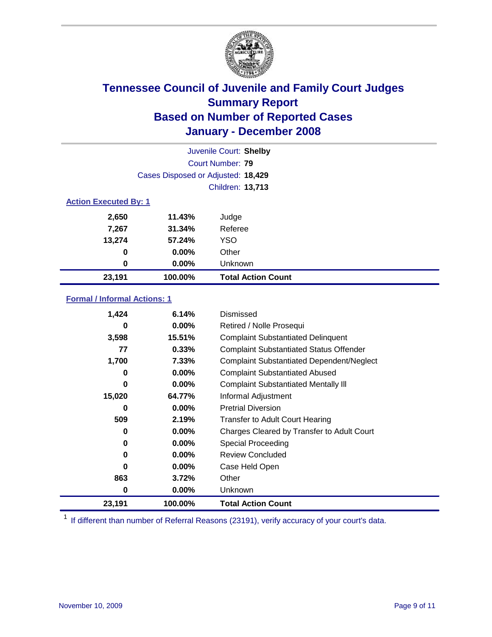

|                              | Juvenile Court: Shelby             |                           |  |  |  |
|------------------------------|------------------------------------|---------------------------|--|--|--|
|                              | Court Number: 79                   |                           |  |  |  |
|                              | Cases Disposed or Adjusted: 18,429 |                           |  |  |  |
|                              |                                    | Children: 13,713          |  |  |  |
| <b>Action Executed By: 1</b> |                                    |                           |  |  |  |
| 2,650                        | 11.43%                             | Judge                     |  |  |  |
| 7,267                        | 31.34%                             | Referee                   |  |  |  |
| 13,274                       | 57.24%                             | <b>YSO</b>                |  |  |  |
| $\bf{0}$                     | $0.00\%$                           | Other                     |  |  |  |
| 0                            | $0.00\%$                           | Unknown                   |  |  |  |
| 23,191                       | 100.00%                            | <b>Total Action Count</b> |  |  |  |

### **Formal / Informal Actions: 1**

| 1,424  | 6.14%    | <b>Dismissed</b>                                 |
|--------|----------|--------------------------------------------------|
| 0      | $0.00\%$ | Retired / Nolle Prosequi                         |
| 3,598  | 15.51%   | <b>Complaint Substantiated Delinquent</b>        |
| 77     | 0.33%    | <b>Complaint Substantiated Status Offender</b>   |
| 1,700  | 7.33%    | <b>Complaint Substantiated Dependent/Neglect</b> |
| 0      | $0.00\%$ | <b>Complaint Substantiated Abused</b>            |
| 0      | $0.00\%$ | <b>Complaint Substantiated Mentally III</b>      |
| 15,020 | 64.77%   | Informal Adjustment                              |
| 0      | $0.00\%$ | <b>Pretrial Diversion</b>                        |
| 509    | 2.19%    | <b>Transfer to Adult Court Hearing</b>           |
| 0      | $0.00\%$ | Charges Cleared by Transfer to Adult Court       |
| 0      | $0.00\%$ | Special Proceeding                               |
| 0      | $0.00\%$ | <b>Review Concluded</b>                          |
| 0      | $0.00\%$ | Case Held Open                                   |
| 863    | 3.72%    | Other                                            |
| 0      | $0.00\%$ | Unknown                                          |
| 23,191 | 100.00%  | <b>Total Action Count</b>                        |

<sup>1</sup> If different than number of Referral Reasons (23191), verify accuracy of your court's data.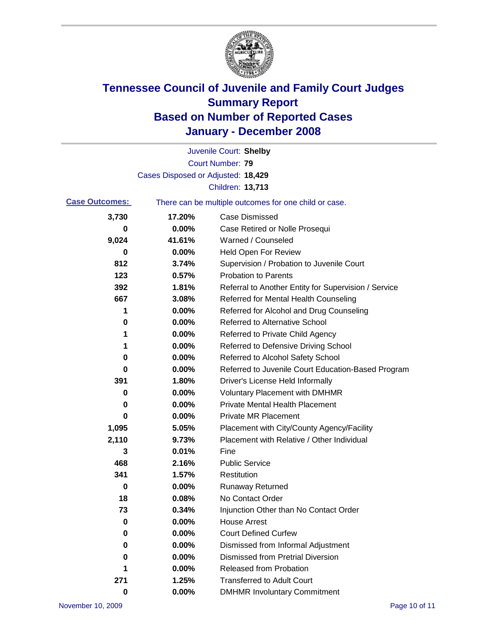

|                                                                                |                                    | Juvenile Court: Shelby                               |
|--------------------------------------------------------------------------------|------------------------------------|------------------------------------------------------|
|                                                                                |                                    | Court Number: 79                                     |
|                                                                                | Cases Disposed or Adjusted: 18,429 |                                                      |
|                                                                                |                                    | Children: 13,713                                     |
| <b>Case Outcomes:</b><br>There can be multiple outcomes for one child or case. |                                    |                                                      |
| 3,730                                                                          | 17.20%                             | <b>Case Dismissed</b>                                |
| 0                                                                              | 0.00%                              | Case Retired or Nolle Prosequi                       |
| 9,024                                                                          | 41.61%                             | Warned / Counseled                                   |
| 0                                                                              | 0.00%                              | <b>Held Open For Review</b>                          |
| 812                                                                            | 3.74%                              | Supervision / Probation to Juvenile Court            |
| 123                                                                            | 0.57%                              | <b>Probation to Parents</b>                          |
| 392                                                                            | 1.81%                              | Referral to Another Entity for Supervision / Service |
| 667                                                                            | 3.08%                              | Referred for Mental Health Counseling                |
| 1                                                                              | 0.00%                              | Referred for Alcohol and Drug Counseling             |
| 0                                                                              | 0.00%                              | <b>Referred to Alternative School</b>                |
| 1                                                                              | 0.00%                              | Referred to Private Child Agency                     |
| 1                                                                              | 0.00%                              | Referred to Defensive Driving School                 |
| 0                                                                              | 0.00%                              | Referred to Alcohol Safety School                    |
| 0                                                                              | 0.00%                              | Referred to Juvenile Court Education-Based Program   |
| 391                                                                            | 1.80%                              | Driver's License Held Informally                     |
| 0                                                                              | 0.00%                              | <b>Voluntary Placement with DMHMR</b>                |
| 0                                                                              | 0.00%                              | <b>Private Mental Health Placement</b>               |
| 0                                                                              | 0.00%                              | <b>Private MR Placement</b>                          |
| 1,095                                                                          | 5.05%                              | Placement with City/County Agency/Facility           |
| 2,110                                                                          | 9.73%                              | Placement with Relative / Other Individual           |
| 3                                                                              | 0.01%                              | Fine                                                 |
| 468                                                                            | 2.16%                              | <b>Public Service</b>                                |
| 341                                                                            | 1.57%                              | Restitution                                          |
| 0                                                                              | 0.00%                              | <b>Runaway Returned</b>                              |
| 18                                                                             | 0.08%                              | No Contact Order                                     |
| 73                                                                             | 0.34%                              | Injunction Other than No Contact Order               |
| 0                                                                              | 0.00%                              | <b>House Arrest</b>                                  |
| 0                                                                              | 0.00%                              | <b>Court Defined Curfew</b>                          |
| 0                                                                              | 0.00%                              | Dismissed from Informal Adjustment                   |
| 0                                                                              | 0.00%                              | <b>Dismissed from Pretrial Diversion</b>             |
| 1                                                                              | 0.00%                              | Released from Probation                              |
| 271                                                                            | 1.25%                              | <b>Transferred to Adult Court</b>                    |
| $\pmb{0}$                                                                      | 0.00%                              | <b>DMHMR Involuntary Commitment</b>                  |